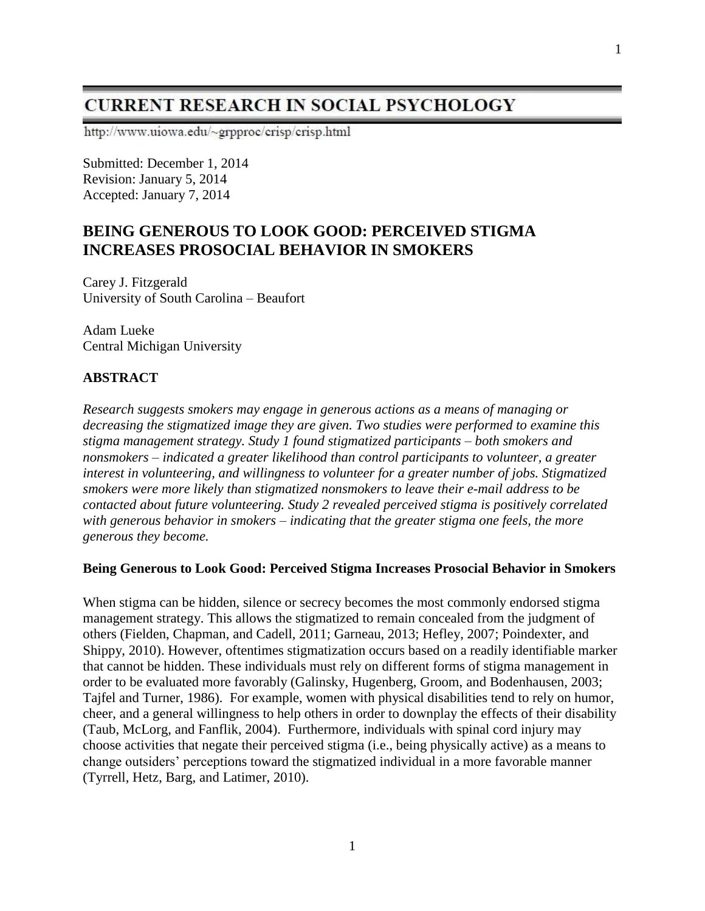# **CURRENT RESEARCH IN SOCIAL PSYCHOLOGY**

http://www.uiowa.edu/~grpproc/crisp/crisp.html

Submitted: December 1, 2014 Revision: January 5, 2014 Accepted: January 7, 2014

# **BEING GENEROUS TO LOOK GOOD: PERCEIVED STIGMA INCREASES PROSOCIAL BEHAVIOR IN SMOKERS**

Carey J. Fitzgerald University of South Carolina – Beaufort

Adam Lueke Central Michigan University

# **ABSTRACT**

*Research suggests smokers may engage in generous actions as a means of managing or decreasing the stigmatized image they are given. Two studies were performed to examine this stigma management strategy. Study 1 found stigmatized participants – both smokers and nonsmokers – indicated a greater likelihood than control participants to volunteer, a greater interest in volunteering, and willingness to volunteer for a greater number of jobs. Stigmatized smokers were more likely than stigmatized nonsmokers to leave their e-mail address to be contacted about future volunteering. Study 2 revealed perceived stigma is positively correlated with generous behavior in smokers – indicating that the greater stigma one feels, the more generous they become.*

#### **Being Generous to Look Good: Perceived Stigma Increases Prosocial Behavior in Smokers**

When stigma can be hidden, silence or secrecy becomes the most commonly endorsed stigma management strategy. This allows the stigmatized to remain concealed from the judgment of others (Fielden, Chapman, and Cadell, 2011; Garneau, 2013; Hefley, 2007; Poindexter, and Shippy, 2010). However, oftentimes stigmatization occurs based on a readily identifiable marker that cannot be hidden. These individuals must rely on different forms of stigma management in order to be evaluated more favorably (Galinsky, Hugenberg, Groom, and Bodenhausen, 2003; Tajfel and Turner, 1986). For example, women with physical disabilities tend to rely on humor, cheer, and a general willingness to help others in order to downplay the effects of their disability (Taub, McLorg, and Fanflik, 2004). Furthermore, individuals with spinal cord injury may choose activities that negate their perceived stigma (i.e., being physically active) as a means to change outsiders' perceptions toward the stigmatized individual in a more favorable manner (Tyrrell, Hetz, Barg, and Latimer, 2010).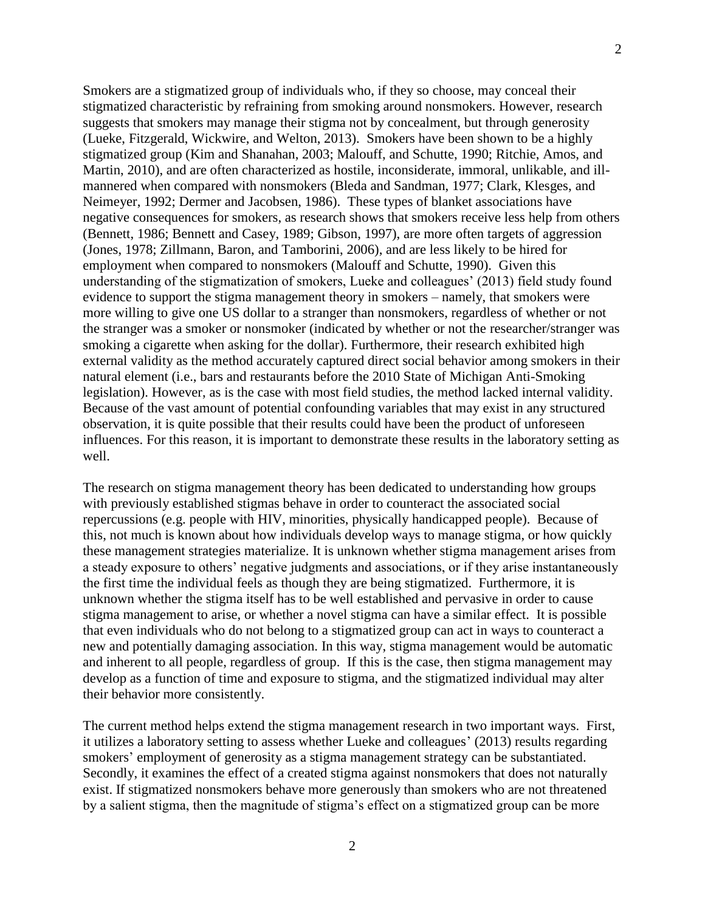2

Smokers are a stigmatized group of individuals who, if they so choose, may conceal their stigmatized characteristic by refraining from smoking around nonsmokers. However, research suggests that smokers may manage their stigma not by concealment, but through generosity (Lueke, Fitzgerald, Wickwire, and Welton, 2013). Smokers have been shown to be a highly stigmatized group (Kim and Shanahan, 2003; Malouff, and Schutte, 1990; Ritchie, Amos, and Martin, 2010), and are often characterized as hostile, inconsiderate, immoral, unlikable, and illmannered when compared with nonsmokers (Bleda and Sandman, 1977; Clark, Klesges, and Neimeyer, 1992; Dermer and Jacobsen, 1986). These types of blanket associations have negative consequences for smokers, as research shows that smokers receive less help from others (Bennett, 1986; Bennett and Casey, 1989; Gibson, 1997), are more often targets of aggression (Jones, 1978; Zillmann, Baron, and Tamborini, 2006), and are less likely to be hired for employment when compared to nonsmokers (Malouff and Schutte, 1990). Given this understanding of the stigmatization of smokers, Lueke and colleagues' (2013) field study found evidence to support the stigma management theory in smokers – namely, that smokers were more willing to give one US dollar to a stranger than nonsmokers, regardless of whether or not the stranger was a smoker or nonsmoker (indicated by whether or not the researcher/stranger was smoking a cigarette when asking for the dollar). Furthermore, their research exhibited high external validity as the method accurately captured direct social behavior among smokers in their natural element (i.e., bars and restaurants before the 2010 State of Michigan Anti-Smoking legislation). However, as is the case with most field studies, the method lacked internal validity. Because of the vast amount of potential confounding variables that may exist in any structured observation, it is quite possible that their results could have been the product of unforeseen influences. For this reason, it is important to demonstrate these results in the laboratory setting as well.

The research on stigma management theory has been dedicated to understanding how groups with previously established stigmas behave in order to counteract the associated social repercussions (e.g. people with HIV, minorities, physically handicapped people). Because of this, not much is known about how individuals develop ways to manage stigma, or how quickly these management strategies materialize. It is unknown whether stigma management arises from a steady exposure to others' negative judgments and associations, or if they arise instantaneously the first time the individual feels as though they are being stigmatized. Furthermore, it is unknown whether the stigma itself has to be well established and pervasive in order to cause stigma management to arise, or whether a novel stigma can have a similar effect. It is possible that even individuals who do not belong to a stigmatized group can act in ways to counteract a new and potentially damaging association. In this way, stigma management would be automatic and inherent to all people, regardless of group. If this is the case, then stigma management may develop as a function of time and exposure to stigma, and the stigmatized individual may alter their behavior more consistently.

The current method helps extend the stigma management research in two important ways. First, it utilizes a laboratory setting to assess whether Lueke and colleagues' (2013) results regarding smokers' employment of generosity as a stigma management strategy can be substantiated. Secondly, it examines the effect of a created stigma against nonsmokers that does not naturally exist. If stigmatized nonsmokers behave more generously than smokers who are not threatened by a salient stigma, then the magnitude of stigma's effect on a stigmatized group can be more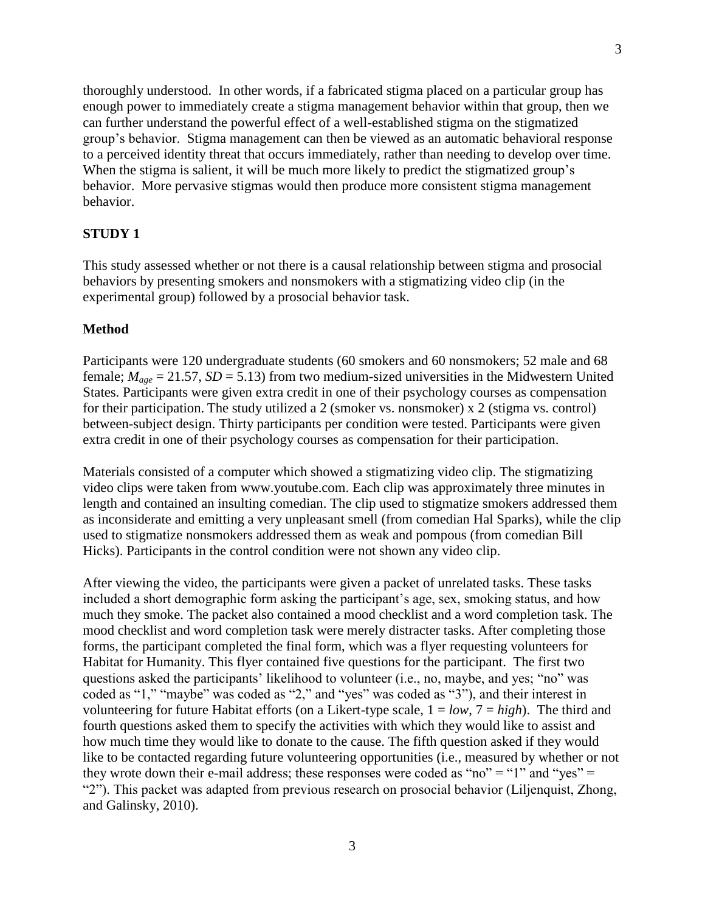thoroughly understood. In other words, if a fabricated stigma placed on a particular group has enough power to immediately create a stigma management behavior within that group, then we can further understand the powerful effect of a well-established stigma on the stigmatized group's behavior. Stigma management can then be viewed as an automatic behavioral response to a perceived identity threat that occurs immediately, rather than needing to develop over time. When the stigma is salient, it will be much more likely to predict the stigmatized group's behavior. More pervasive stigmas would then produce more consistent stigma management behavior.

# **STUDY 1**

This study assessed whether or not there is a causal relationship between stigma and prosocial behaviors by presenting smokers and nonsmokers with a stigmatizing video clip (in the experimental group) followed by a prosocial behavior task.

# **Method**

Participants were 120 undergraduate students (60 smokers and 60 nonsmokers; 52 male and 68 female;  $M_{age} = 21.57$ ,  $SD = 5.13$ ) from two medium-sized universities in the Midwestern United States. Participants were given extra credit in one of their psychology courses as compensation for their participation. The study utilized a 2 (smoker vs. nonsmoker) x 2 (stigma vs. control) between-subject design. Thirty participants per condition were tested. Participants were given extra credit in one of their psychology courses as compensation for their participation.

Materials consisted of a computer which showed a stigmatizing video clip. The stigmatizing video clips were taken from www.youtube.com. Each clip was approximately three minutes in length and contained an insulting comedian. The clip used to stigmatize smokers addressed them as inconsiderate and emitting a very unpleasant smell (from comedian Hal Sparks), while the clip used to stigmatize nonsmokers addressed them as weak and pompous (from comedian Bill Hicks). Participants in the control condition were not shown any video clip.

After viewing the video, the participants were given a packet of unrelated tasks. These tasks included a short demographic form asking the participant's age, sex, smoking status, and how much they smoke. The packet also contained a mood checklist and a word completion task. The mood checklist and word completion task were merely distracter tasks. After completing those forms, the participant completed the final form, which was a flyer requesting volunteers for Habitat for Humanity. This flyer contained five questions for the participant. The first two questions asked the participants' likelihood to volunteer (i.e., no, maybe, and yes; "no" was coded as "1," "maybe" was coded as "2," and "yes" was coded as "3"), and their interest in volunteering for future Habitat efforts (on a Likert-type scale, 1 = *low*, 7 = *high*). The third and fourth questions asked them to specify the activities with which they would like to assist and how much time they would like to donate to the cause. The fifth question asked if they would like to be contacted regarding future volunteering opportunities (i.e., measured by whether or not they wrote down their e-mail address; these responses were coded as "no" = "1" and "yes" = "2"). This packet was adapted from previous research on prosocial behavior (Liljenquist, Zhong, and Galinsky, 2010).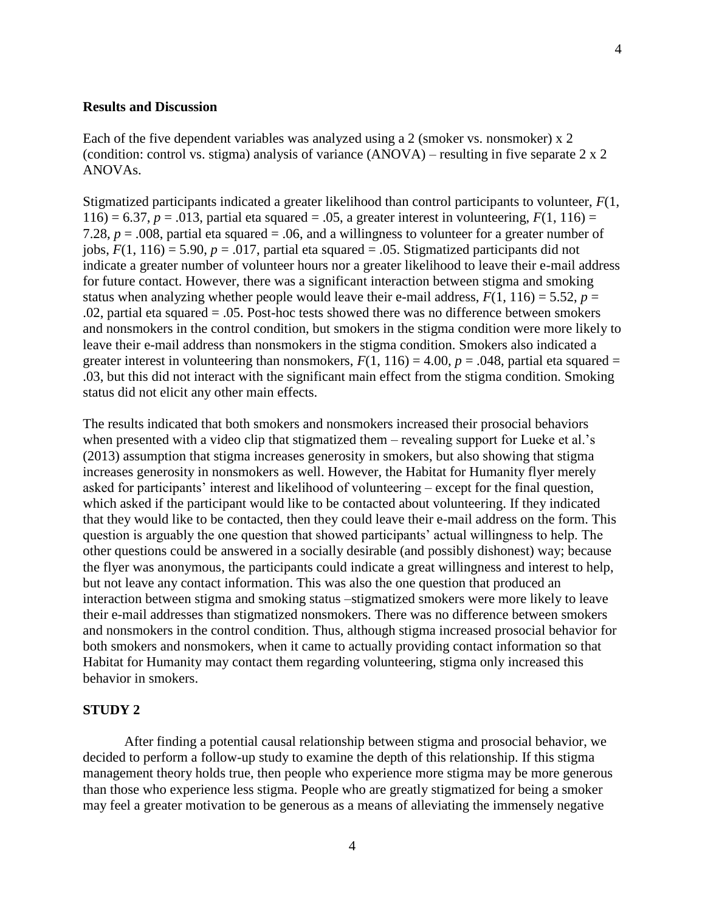#### **Results and Discussion**

Each of the five dependent variables was analyzed using a 2 (smoker vs. nonsmoker) x 2 (condition: control vs. stigma) analysis of variance (ANOVA) – resulting in five separate 2 x 2 ANOVAs.

Stigmatized participants indicated a greater likelihood than control participants to volunteer, *F*(1, 116) = 6.37,  $p = .013$ , partial eta squared = .05, a greater interest in volunteering,  $F(1, 116)$  = 7.28, *p* = .008, partial eta squared = .06, and a willingness to volunteer for a greater number of jobs,  $F(1, 116) = 5.90$ ,  $p = .017$ , partial eta squared = .05. Stigmatized participants did not indicate a greater number of volunteer hours nor a greater likelihood to leave their e-mail address for future contact. However, there was a significant interaction between stigma and smoking status when analyzing whether people would leave their e-mail address,  $F(1, 116) = 5.52$ ,  $p =$ .02, partial eta squared = .05. Post-hoc tests showed there was no difference between smokers and nonsmokers in the control condition, but smokers in the stigma condition were more likely to leave their e-mail address than nonsmokers in the stigma condition. Smokers also indicated a greater interest in volunteering than nonsmokers,  $F(1, 116) = 4.00$ ,  $p = .048$ , partial eta squared = .03, but this did not interact with the significant main effect from the stigma condition. Smoking status did not elicit any other main effects.

The results indicated that both smokers and nonsmokers increased their prosocial behaviors when presented with a video clip that stigmatized them – revealing support for Lueke et al.'s (2013) assumption that stigma increases generosity in smokers, but also showing that stigma increases generosity in nonsmokers as well. However, the Habitat for Humanity flyer merely asked for participants' interest and likelihood of volunteering – except for the final question, which asked if the participant would like to be contacted about volunteering. If they indicated that they would like to be contacted, then they could leave their e-mail address on the form. This question is arguably the one question that showed participants' actual willingness to help. The other questions could be answered in a socially desirable (and possibly dishonest) way; because the flyer was anonymous, the participants could indicate a great willingness and interest to help, but not leave any contact information. This was also the one question that produced an interaction between stigma and smoking status –stigmatized smokers were more likely to leave their e-mail addresses than stigmatized nonsmokers. There was no difference between smokers and nonsmokers in the control condition. Thus, although stigma increased prosocial behavior for both smokers and nonsmokers, when it came to actually providing contact information so that Habitat for Humanity may contact them regarding volunteering, stigma only increased this behavior in smokers.

# **STUDY 2**

After finding a potential causal relationship between stigma and prosocial behavior, we decided to perform a follow-up study to examine the depth of this relationship. If this stigma management theory holds true, then people who experience more stigma may be more generous than those who experience less stigma. People who are greatly stigmatized for being a smoker may feel a greater motivation to be generous as a means of alleviating the immensely negative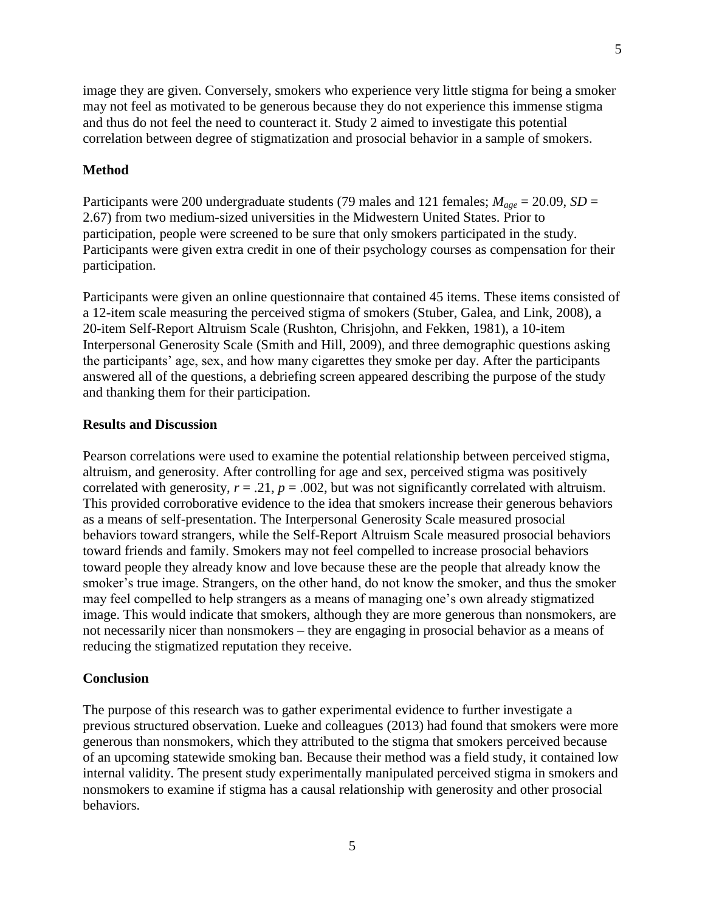image they are given. Conversely, smokers who experience very little stigma for being a smoker may not feel as motivated to be generous because they do not experience this immense stigma and thus do not feel the need to counteract it. Study 2 aimed to investigate this potential correlation between degree of stigmatization and prosocial behavior in a sample of smokers.

### **Method**

Participants were 200 undergraduate students (79 males and 121 females;  $M_{age} = 20.09$ ,  $SD =$ 2.67) from two medium-sized universities in the Midwestern United States. Prior to participation, people were screened to be sure that only smokers participated in the study. Participants were given extra credit in one of their psychology courses as compensation for their participation.

Participants were given an online questionnaire that contained 45 items. These items consisted of a 12-item scale measuring the perceived stigma of smokers (Stuber, Galea, and Link, 2008), a 20-item Self-Report Altruism Scale (Rushton, Chrisjohn, and Fekken, 1981), a 10-item Interpersonal Generosity Scale (Smith and Hill, 2009), and three demographic questions asking the participants' age, sex, and how many cigarettes they smoke per day. After the participants answered all of the questions, a debriefing screen appeared describing the purpose of the study and thanking them for their participation.

### **Results and Discussion**

Pearson correlations were used to examine the potential relationship between perceived stigma, altruism, and generosity. After controlling for age and sex, perceived stigma was positively correlated with generosity,  $r = .21$ ,  $p = .002$ , but was not significantly correlated with altruism. This provided corroborative evidence to the idea that smokers increase their generous behaviors as a means of self-presentation. The Interpersonal Generosity Scale measured prosocial behaviors toward strangers, while the Self-Report Altruism Scale measured prosocial behaviors toward friends and family. Smokers may not feel compelled to increase prosocial behaviors toward people they already know and love because these are the people that already know the smoker's true image. Strangers, on the other hand, do not know the smoker, and thus the smoker may feel compelled to help strangers as a means of managing one's own already stigmatized image. This would indicate that smokers, although they are more generous than nonsmokers, are not necessarily nicer than nonsmokers – they are engaging in prosocial behavior as a means of reducing the stigmatized reputation they receive.

### **Conclusion**

The purpose of this research was to gather experimental evidence to further investigate a previous structured observation. Lueke and colleagues (2013) had found that smokers were more generous than nonsmokers, which they attributed to the stigma that smokers perceived because of an upcoming statewide smoking ban. Because their method was a field study, it contained low internal validity. The present study experimentally manipulated perceived stigma in smokers and nonsmokers to examine if stigma has a causal relationship with generosity and other prosocial behaviors.

5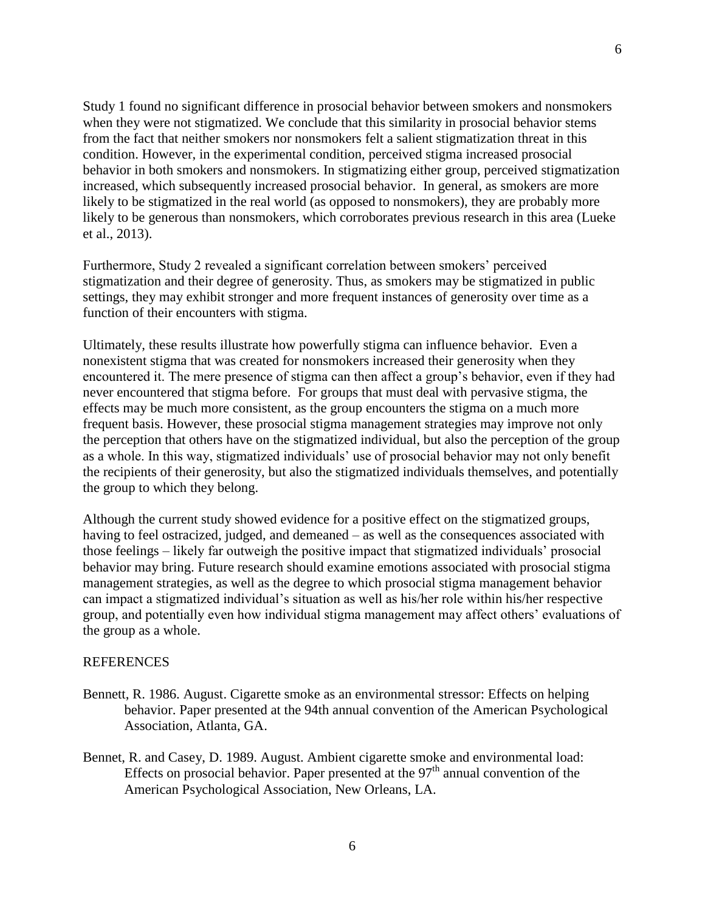Study 1 found no significant difference in prosocial behavior between smokers and nonsmokers when they were not stigmatized. We conclude that this similarity in prosocial behavior stems from the fact that neither smokers nor nonsmokers felt a salient stigmatization threat in this condition. However, in the experimental condition, perceived stigma increased prosocial behavior in both smokers and nonsmokers. In stigmatizing either group, perceived stigmatization increased, which subsequently increased prosocial behavior. In general, as smokers are more likely to be stigmatized in the real world (as opposed to nonsmokers), they are probably more likely to be generous than nonsmokers, which corroborates previous research in this area (Lueke et al., 2013).

Furthermore, Study 2 revealed a significant correlation between smokers' perceived stigmatization and their degree of generosity. Thus, as smokers may be stigmatized in public settings, they may exhibit stronger and more frequent instances of generosity over time as a function of their encounters with stigma.

Ultimately, these results illustrate how powerfully stigma can influence behavior. Even a nonexistent stigma that was created for nonsmokers increased their generosity when they encountered it. The mere presence of stigma can then affect a group's behavior, even if they had never encountered that stigma before. For groups that must deal with pervasive stigma, the effects may be much more consistent, as the group encounters the stigma on a much more frequent basis. However, these prosocial stigma management strategies may improve not only the perception that others have on the stigmatized individual, but also the perception of the group as a whole. In this way, stigmatized individuals' use of prosocial behavior may not only benefit the recipients of their generosity, but also the stigmatized individuals themselves, and potentially the group to which they belong.

Although the current study showed evidence for a positive effect on the stigmatized groups, having to feel ostracized, judged, and demeaned – as well as the consequences associated with those feelings – likely far outweigh the positive impact that stigmatized individuals' prosocial behavior may bring. Future research should examine emotions associated with prosocial stigma management strategies, as well as the degree to which prosocial stigma management behavior can impact a stigmatized individual's situation as well as his/her role within his/her respective group, and potentially even how individual stigma management may affect others' evaluations of the group as a whole.

#### REFERENCES

- Bennett, R. 1986. August. Cigarette smoke as an environmental stressor: Effects on helping behavior. Paper presented at the 94th annual convention of the American Psychological Association, Atlanta, GA.
- Bennet, R. and Casey, D. 1989. August. Ambient cigarette smoke and environmental load: Effects on prosocial behavior. Paper presented at the  $97<sup>th</sup>$  annual convention of the American Psychological Association, New Orleans, LA.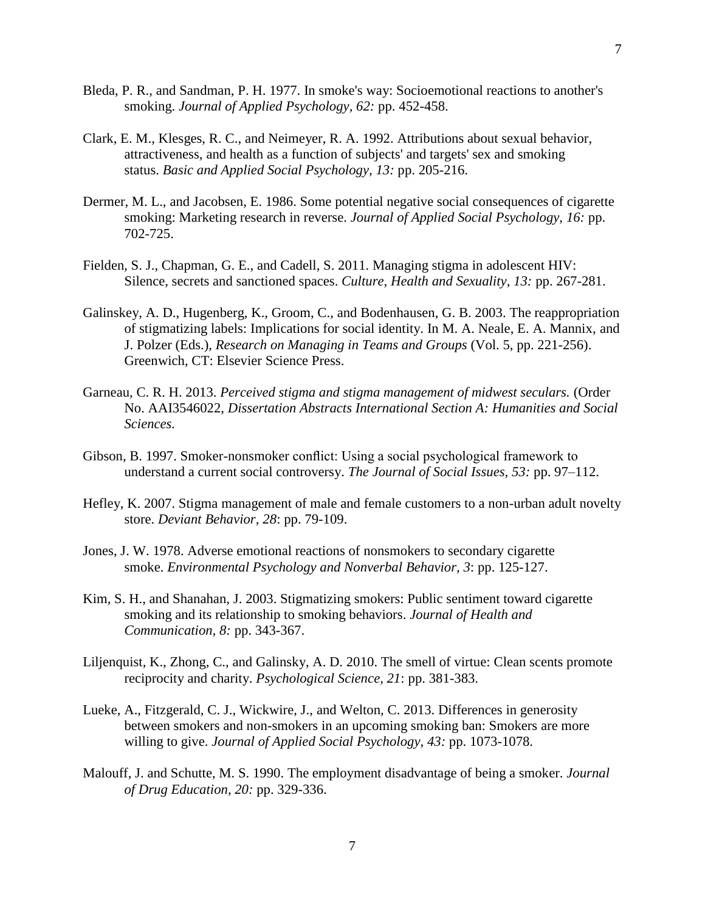- Bleda, P. R., and Sandman, P. H. 1977. In smoke's way: Socioemotional reactions to another's smoking. *Journal of Applied Psychology, 62:* pp. 452-458.
- Clark, E. M., Klesges, R. C., and Neimeyer, R. A. 1992. Attributions about sexual behavior, attractiveness, and health as a function of subjects' and targets' sex and smoking status. *Basic and Applied Social Psychology, 13:* pp. 205-216.
- Dermer, M. L., and Jacobsen, E. 1986. Some potential negative social consequences of cigarette smoking: Marketing research in reverse. *Journal of Applied Social Psychology, 16:* pp. 702-725.
- Fielden, S. J., Chapman, G. E., and Cadell, S. 2011. Managing stigma in adolescent HIV: Silence, secrets and sanctioned spaces. *Culture, Health and Sexuality, 13:* pp. 267-281.
- Galinskey, A. D., Hugenberg, K., Groom, C., and Bodenhausen, G. B. 2003. The reappropriation of stigmatizing labels: Implications for social identity. In M. A. Neale, E. A. Mannix, and J. Polzer (Eds.), *Research on Managing in Teams and Groups* (Vol. 5, pp. 221-256). Greenwich, CT: Elsevier Science Press.
- Garneau, C. R. H. 2013. *Perceived stigma and stigma management of midwest seculars.* (Order No. AAI3546022, *Dissertation Abstracts International Section A: Humanities and Social Sciences.*
- Gibson, B. 1997. Smoker-nonsmoker conflict: Using a social psychological framework to understand a current social controversy. *The Journal of Social Issues, 53:* pp. 97–112.
- Hefley, K. 2007. Stigma management of male and female customers to a non-urban adult novelty store. *Deviant Behavior, 28*: pp. 79-109.
- Jones, J. W. 1978. Adverse emotional reactions of nonsmokers to secondary cigarette smoke. *Environmental Psychology and Nonverbal Behavior, 3*: pp. 125-127.
- Kim, S. H., and Shanahan, J. 2003. Stigmatizing smokers: Public sentiment toward cigarette smoking and its relationship to smoking behaviors. *Journal of Health and Communication, 8:* pp. 343-367.
- Liljenquist, K., Zhong, C., and Galinsky, A. D. 2010. The smell of virtue: Clean scents promote reciprocity and charity. *Psychological Science, 21*: pp. 381-383.
- Lueke, A., Fitzgerald, C. J., Wickwire, J., and Welton, C. 2013. Differences in generosity between smokers and non-smokers in an upcoming smoking ban: Smokers are more willing to give. *Journal of Applied Social Psychology*, *43:* pp. 1073-1078.
- Malouff, J. and Schutte, M. S. 1990. The employment disadvantage of being a smoker. *Journal of Drug Education, 20:* pp. 329-336.